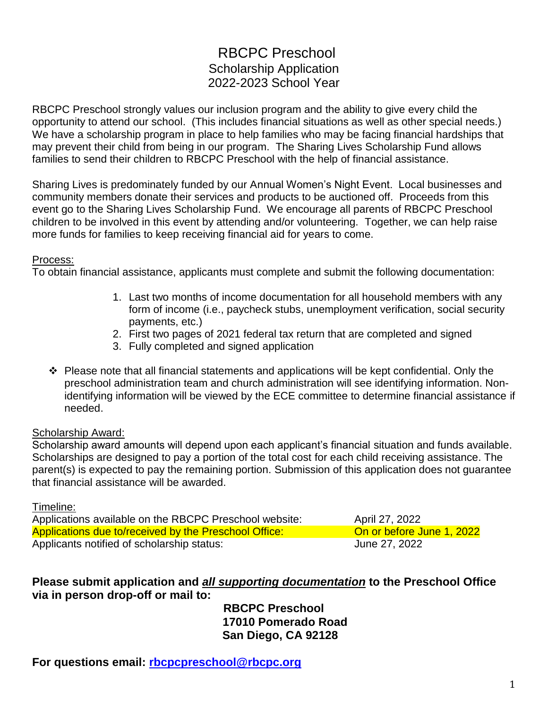# RBCPC Preschool Scholarship Application 2022-2023 School Year

RBCPC Preschool strongly values our inclusion program and the ability to give every child the opportunity to attend our school. (This includes financial situations as well as other special needs.) We have a scholarship program in place to help families who may be facing financial hardships that may prevent their child from being in our program. The Sharing Lives Scholarship Fund allows families to send their children to RBCPC Preschool with the help of financial assistance.

Sharing Lives is predominately funded by our Annual Women's Night Event. Local businesses and community members donate their services and products to be auctioned off. Proceeds from this event go to the Sharing Lives Scholarship Fund. We encourage all parents of RBCPC Preschool children to be involved in this event by attending and/or volunteering. Together, we can help raise more funds for families to keep receiving financial aid for years to come.

#### Process:

To obtain financial assistance, applicants must complete and submit the following documentation:

- 1. Last two months of income documentation for all household members with any form of income (i.e., paycheck stubs, unemployment verification, social security payments, etc.)
- 2. First two pages of 2021 federal tax return that are completed and signed
- 3. Fully completed and signed application
- $\div$  Please note that all financial statements and applications will be kept confidential. Only the preschool administration team and church administration will see identifying information. Nonidentifying information will be viewed by the ECE committee to determine financial assistance if needed.

#### Scholarship Award:

Scholarship award amounts will depend upon each applicant's financial situation and funds available. Scholarships are designed to pay a portion of the total cost for each child receiving assistance. The parent(s) is expected to pay the remaining portion. Submission of this application does not guarantee that financial assistance will be awarded.

Timeline:

Applications available on the RBCPC Preschool website: April 27, 2022 Applications due to/received by the Preschool Office: **On or before June 1, 2022** Applicants notified of scholarship status: June 27, 2022

#### **Please submit application and** *all supporting documentation* **to the Preschool Office via in person drop-off or mail to:**

**RBCPC Preschool 17010 Pomerado Road San Diego, CA 92128**

**For questions email: [rbcpcpreschool@rbcpc.org](mailto:rbcpcpreschool@rbcpc.org)**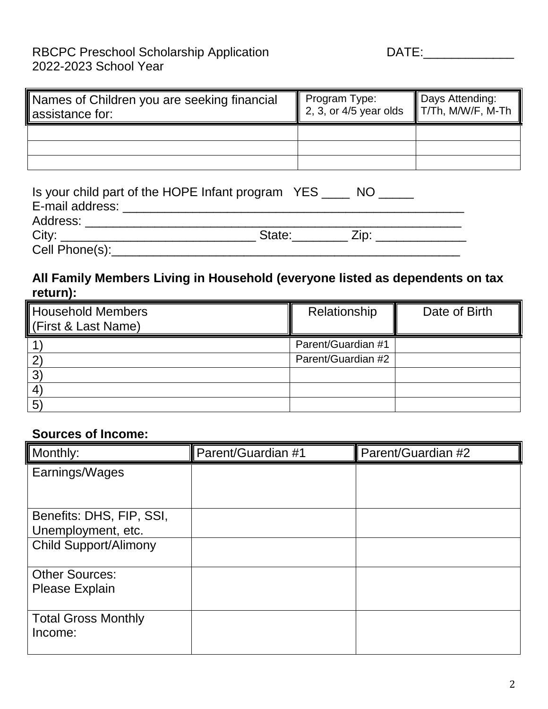### RBCPC Preschool Scholarship Application Mathematic DATE: 2022-2023 School Year

| Names of Children you are seeking financial<br>assistance for: | Program Type: <b>Days Attending:</b><br>2, 3, or 4/5 year olds T/Th, M/W/F, M-Th |  |
|----------------------------------------------------------------|----------------------------------------------------------------------------------|--|
|                                                                |                                                                                  |  |
|                                                                |                                                                                  |  |
|                                                                |                                                                                  |  |

| Is your child part of the HOPE Infant program YES _____ NO                                                     |                    |
|----------------------------------------------------------------------------------------------------------------|--------------------|
| E-mail address:                                                                                                |                    |
| Address: Andreas Address Andrew Management Address and America and America and America and America and America |                    |
| City:                                                                                                          | State: <u>Zip:</u> |
| Cell Phone(s):                                                                                                 |                    |

## **All Family Members Living in Household (everyone listed as dependents on tax return):**

| <b>Household Members</b><br>First & Last Name) | Relationship       | Date of Birth |
|------------------------------------------------|--------------------|---------------|
|                                                | Parent/Guardian #1 |               |
|                                                | Parent/Guardian #2 |               |
| 3                                              |                    |               |
| 4                                              |                    |               |
| $5^{\circ}$                                    |                    |               |

### **Sources of Income:**

| Monthly:                     | Parent/Guardian #1 | Parent/Guardian #2 |
|------------------------------|--------------------|--------------------|
| Earnings/Wages               |                    |                    |
|                              |                    |                    |
| Benefits: DHS, FIP, SSI,     |                    |                    |
| Unemployment, etc.           |                    |                    |
| <b>Child Support/Alimony</b> |                    |                    |
| <b>Other Sources:</b>        |                    |                    |
| <b>Please Explain</b>        |                    |                    |
| <b>Total Gross Monthly</b>   |                    |                    |
| Income:                      |                    |                    |
|                              |                    |                    |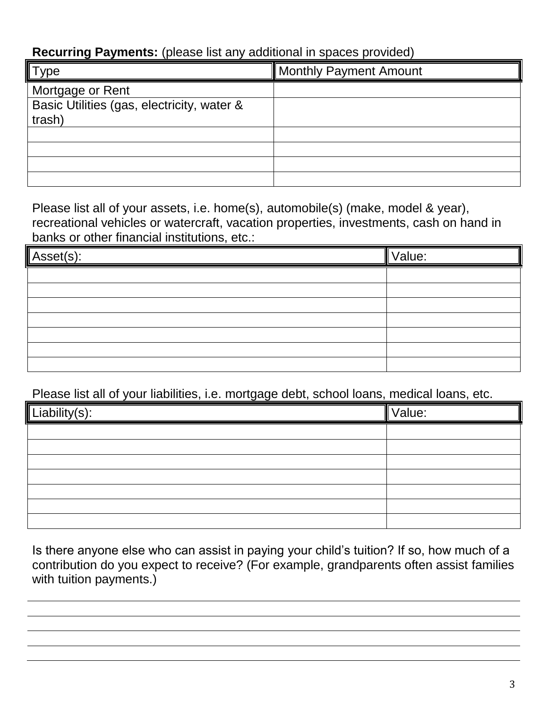## **Recurring Payments:** (please list any additional in spaces provided)

| $T$ vpe                                    | <b>Monthly Payment Amount</b> |
|--------------------------------------------|-------------------------------|
| Mortgage or Rent                           |                               |
| Basic Utilities (gas, electricity, water & |                               |
| trash)                                     |                               |
|                                            |                               |
|                                            |                               |
|                                            |                               |
|                                            |                               |

Please list all of your assets, i.e. home(s), automobile(s) (make, model & year), recreational vehicles or watercraft, vacation properties, investments, cash on hand in banks or other financial institutions, etc.:

| Asset(s): | Value: |
|-----------|--------|
|           |        |
|           |        |
|           |        |
|           |        |
|           |        |
|           |        |
|           |        |

Please list all of your liabilities, i.e. mortgage debt, school loans, medical loans, etc.

| Liability(s): | Value: |
|---------------|--------|
|               |        |
|               |        |
|               |        |
|               |        |
|               |        |
|               |        |
|               |        |

Is there anyone else who can assist in paying your child's tuition? If so, how much of a contribution do you expect to receive? (For example, grandparents often assist families with tuition payments.)